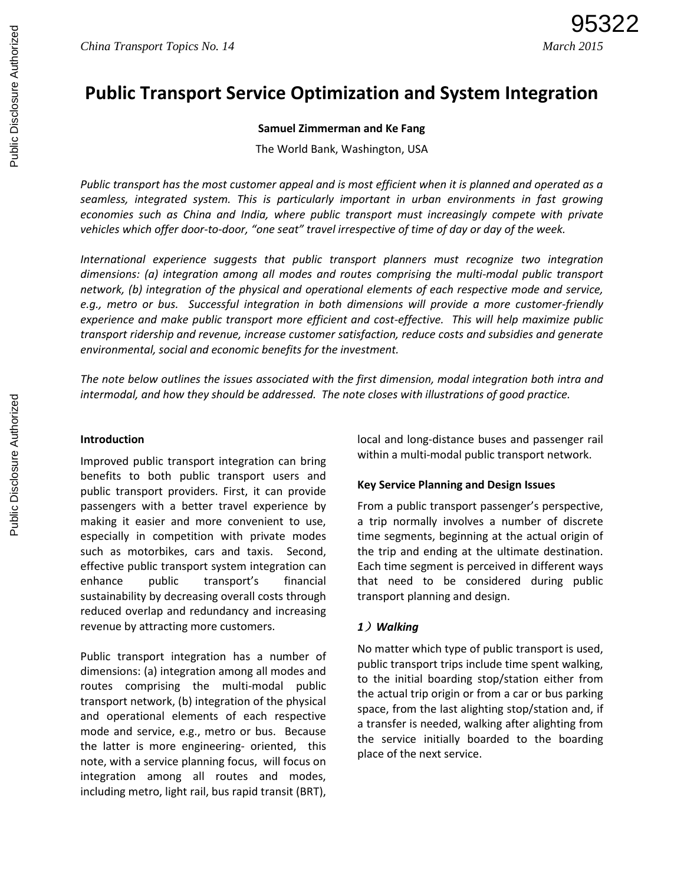# **Public Transport Service Optimization and System Integration**

## **Samuel Zimmerman and Ke Fang**

The World Bank, Washington, USA

*Public transport has the most customer appeal and is most efficient when it is planned and operated as a seamless, integrated system. This is particularly important in urban environments in fast growing economies such as China and India, where public transport must increasingly compete with private vehicles which offer door-to-door, "one seat" travel irrespective of time of day or day of the week.* 

*International experience suggests that public transport planners must recognize two integration dimensions: (a) integration among all modes and routes comprising the multi-modal public transport network, (b) integration of the physical and operational elements of each respective mode and service, e.g., metro or bus. Successful integration in both dimensions will provide a more customer-friendly experience and make public transport more efficient and cost-effective. This will help maximize public transport ridership and revenue, increase customer satisfaction, reduce costs and subsidies and generate environmental, social and economic benefits for the investment.* 

*The note below outlines the issues associated with the first dimension, modal integration both intra and intermodal, and how they should be addressed. The note closes with illustrations of good practice.* 

#### **Introduction**

Improved public transport integration can bring benefits to both public transport users and public transport providers. First, it can provide passengers with a better travel experience by making it easier and more convenient to use, especially in competition with private modes such as motorbikes, cars and taxis. Second, effective public transport system integration can enhance public transport's financial sustainability by decreasing overall costs through reduced overlap and redundancy and increasing revenue by attracting more customers.

Public transport integration has a number of dimensions: (a) integration among all modes and routes comprising the multi-modal public transport network, (b) integration of the physical and operational elements of each respective mode and service, e.g., metro or bus. Because the latter is more engineering- oriented, this note, with a service planning focus, will focus on integration among all routes and modes, including metro, light rail, bus rapid transit (BRT),

local and long-distance buses and passenger rail within a multi-modal public transport network.

## **Key Service Planning and Design Issues**

From a public transport passenger's perspective, a trip normally involves a number of discrete time segments, beginning at the actual origin of the trip and ending at the ultimate destination. Each time segment is perceived in different ways that need to be considered during public transport planning and design.

# *1*)*Walking*

No matter which type of public transport is used, public transport trips include time spent walking, to the initial boarding stop/station either from the actual trip origin or from a car or bus parking space, from the last alighting stop/station and, if a transfer is needed, walking after alighting from the service initially boarded to the boarding place of the next service.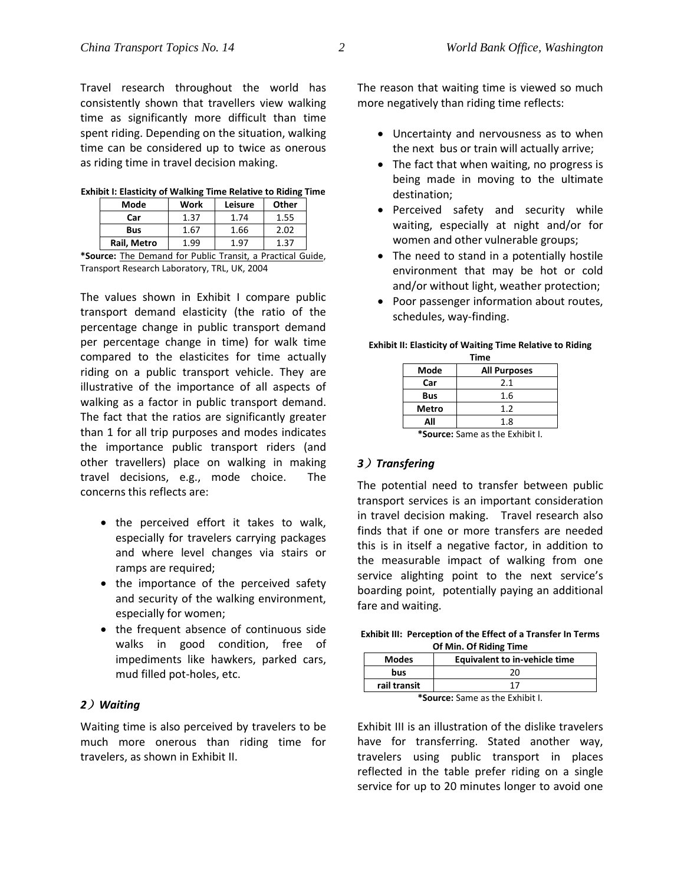Travel research throughout the world has consistently shown that travellers view walking time as significantly more difficult than time spent riding. Depending on the situation, walking time can be considered up to twice as onerous as riding time in travel decision making.

| Mode                           | Work                        | Leisure | Other                                     |  |  |  |
|--------------------------------|-----------------------------|---------|-------------------------------------------|--|--|--|
| Car                            | 1.37                        | 1.74    | 1.55                                      |  |  |  |
| <b>Bus</b>                     | 1.67                        | 1.66    | 2.02                                      |  |  |  |
| Rail, Metro                    | -99                         | .97     | 1.37                                      |  |  |  |
| --<br>$\overline{\phantom{a}}$ | $\cdot$ $\cdot$<br>.<br>$-$ | $\sim$  | $\sim$ $\sim$<br>$\overline{\phantom{0}}$ |  |  |  |

**Exhibit I: Elasticity of Walking Time Relative to Riding Time**

**\*Source:** The Demand for Public Transit, a Practical Guide, Transport Research Laboratory, TRL, UK, 2004

The values shown in Exhibit I compare public transport demand elasticity (the ratio of the percentage change in public transport demand per percentage change in time) for walk time compared to the elasticites for time actually riding on a public transport vehicle. They are illustrative of the importance of all aspects of walking as a factor in public transport demand. The fact that the ratios are significantly greater than 1 for all trip purposes and modes indicates the importance public transport riders (and other travellers) place on walking in making travel decisions, e.g., mode choice. The concerns this reflects are:

- the perceived effort it takes to walk, especially for travelers carrying packages and where level changes via stairs or ramps are required;
- the importance of the perceived safety and security of the walking environment, especially for women;
- the frequent absence of continuous side walks in good condition, free of impediments like hawkers, parked cars, mud filled pot-holes, etc.

## *2*)*Waiting*

Waiting time is also perceived by travelers to be much more onerous than riding time for travelers, as shown in Exhibit II.

The reason that waiting time is viewed so much more negatively than riding time reflects:

- Uncertainty and nervousness as to when the next bus or train will actually arrive;
- The fact that when waiting, no progress is being made in moving to the ultimate destination;
- Perceived safety and security while waiting, especially at night and/or for women and other vulnerable groups;
- The need to stand in a potentially hostile environment that may be hot or cold and/or without light, weather protection;
- Poor passenger information about routes, schedules, way-finding.

#### **Exhibit II: Elasticity of Waiting Time Relative to Riding**

| Time                   |                     |  |  |  |
|------------------------|---------------------|--|--|--|
| Mode                   | <b>All Purposes</b> |  |  |  |
| Car                    | 2.1                 |  |  |  |
| Bus                    | 1.6                 |  |  |  |
| Metro                  | 1.2                 |  |  |  |
| All                    | 1.8                 |  |  |  |
| $\sim$ 100 $-$ 100 $-$ | .                   |  |  |  |

**\*Source:** Same as the Exhibit I.

## *3*)*Transfering*

The potential need to transfer between public transport services is an important consideration in travel decision making. Travel research also finds that if one or more transfers are needed this is in itself a negative factor, in addition to the measurable impact of walking from one service alighting point to the next service's boarding point, potentially paying an additional fare and waiting.

| Exhibit III: Perception of the Effect of a Transfer In Terms |  |
|--------------------------------------------------------------|--|
| Of Min. Of Riding Time                                       |  |

| <b>Modes</b>                   | Equivalent to in-vehicle time |  |
|--------------------------------|-------------------------------|--|
| bus                            | 70                            |  |
| rail transit                   |                               |  |
| *Source: Same as the Exhibit I |                               |  |

**\*Source:** Same as the Exhibit I.

Exhibit III is an illustration of the dislike travelers have for transferring. Stated another way, travelers using public transport in places reflected in the table prefer riding on a single service for up to 20 minutes longer to avoid one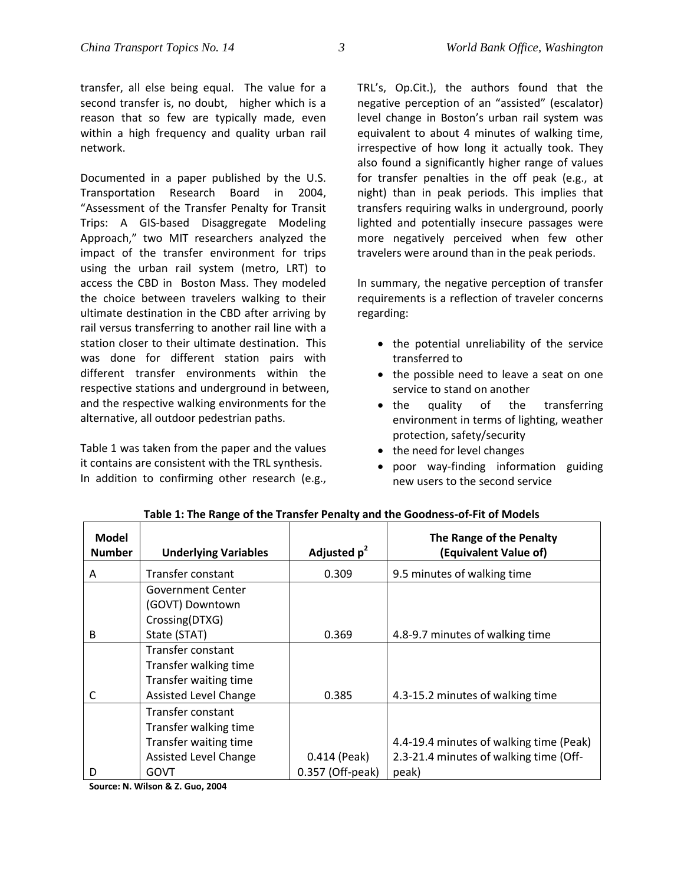transfer, all else being equal. The value for a second transfer is, no doubt, higher which is a reason that so few are typically made, even within a high frequency and quality urban rail network.

Documented in a paper published by the U.S. Transportation Research Board in 2004, "Assessment of the Transfer Penalty for Transit Trips: A GIS-based Disaggregate Modeling Approach," two MIT researchers analyzed the impact of the transfer environment for trips using the urban rail system (metro, LRT) to access the CBD in Boston Mass. They modeled the choice between travelers walking to their ultimate destination in the CBD after arriving by rail versus transferring to another rail line with a station closer to their ultimate destination. This was done for different station pairs with different transfer environments within the respective stations and underground in between, and the respective walking environments for the alternative, all outdoor pedestrian paths.

Table 1 was taken from the paper and the values it contains are consistent with the TRL synthesis. In addition to confirming other research (e.g., TRL's, Op.Cit.), the authors found that the negative perception of an "assisted" (escalator) level change in Boston's urban rail system was equivalent to about 4 minutes of walking time, irrespective of how long it actually took. They also found a significantly higher range of values for transfer penalties in the off peak (e.g., at night) than in peak periods. This implies that transfers requiring walks in underground, poorly lighted and potentially insecure passages were more negatively perceived when few other travelers were around than in the peak periods.

In summary, the negative perception of transfer requirements is a reflection of traveler concerns regarding:

- the potential unreliability of the service transferred to
- the possible need to leave a seat on one service to stand on another
- the quality of the transferring environment in terms of lighting, weather protection, safety/security
- the need for level changes
- poor way-finding information guiding new users to the second service

| Model         |                              |                  | The Range of the Penalty                |
|---------------|------------------------------|------------------|-----------------------------------------|
| <b>Number</b> | <b>Underlying Variables</b>  | Adjusted $p^2$   | (Equivalent Value of)                   |
| A             | Transfer constant            | 0.309            | 9.5 minutes of walking time             |
|               | <b>Government Center</b>     |                  |                                         |
|               | (GOVT) Downtown              |                  |                                         |
|               | Crossing(DTXG)               |                  |                                         |
| <sub>B</sub>  | State (STAT)                 | 0.369            | 4.8-9.7 minutes of walking time         |
|               | Transfer constant            |                  |                                         |
|               | Transfer walking time        |                  |                                         |
|               | Transfer waiting time        |                  |                                         |
| C             | <b>Assisted Level Change</b> | 0.385            | 4.3-15.2 minutes of walking time        |
|               | Transfer constant            |                  |                                         |
|               | Transfer walking time        |                  |                                         |
|               | Transfer waiting time        |                  | 4.4-19.4 minutes of walking time (Peak) |
|               | Assisted Level Change        | 0.414 (Peak)     | 2.3-21.4 minutes of walking time (Off-  |
| D             | <b>GOVT</b>                  | 0.357 (Off-peak) | peak)                                   |

**Table 1: The Range of the Transfer Penalty and the Goodness-of-Fit of Models**

**Source: N. Wilson & Z. Guo, 2004**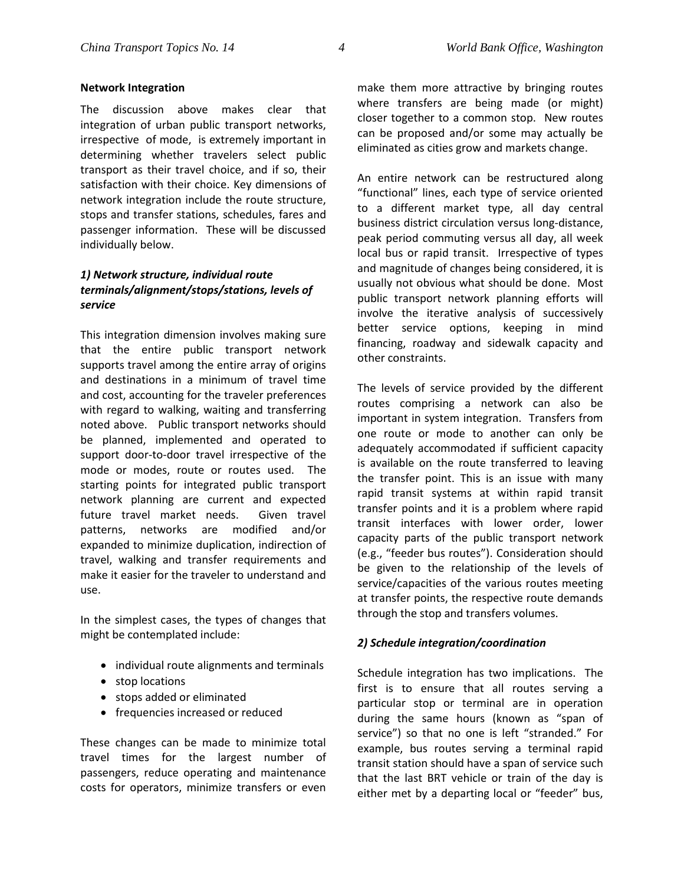#### **Network Integration**

The discussion above makes clear that integration of urban public transport networks, irrespective of mode, is extremely important in determining whether travelers select public transport as their travel choice, and if so, their satisfaction with their choice. Key dimensions of network integration include the route structure, stops and transfer stations, schedules, fares and passenger information. These will be discussed individually below.

# *1) Network structure, individual route terminals/alignment/stops/stations, levels of service*

This integration dimension involves making sure that the entire public transport network supports travel among the entire array of origins and destinations in a minimum of travel time and cost, accounting for the traveler preferences with regard to walking, waiting and transferring noted above. Public transport networks should be planned, implemented and operated to support door-to-door travel irrespective of the mode or modes, route or routes used. The starting points for integrated public transport network planning are current and expected future travel market needs. Given travel patterns, networks are modified and/or expanded to minimize duplication, indirection of travel, walking and transfer requirements and make it easier for the traveler to understand and use.

In the simplest cases, the types of changes that might be contemplated include:

- individual route alignments and terminals
- stop locations
- stops added or eliminated
- frequencies increased or reduced

These changes can be made to minimize total travel times for the largest number of passengers, reduce operating and maintenance costs for operators, minimize transfers or even

make them more attractive by bringing routes where transfers are being made (or might) closer together to a common stop. New routes can be proposed and/or some may actually be eliminated as cities grow and markets change.

An entire network can be restructured along "functional" lines, each type of service oriented to a different market type, all day central business district circulation versus long-distance, peak period commuting versus all day, all week local bus or rapid transit. Irrespective of types and magnitude of changes being considered, it is usually not obvious what should be done. Most public transport network planning efforts will involve the iterative analysis of successively better service options, keeping in mind financing, roadway and sidewalk capacity and other constraints.

The levels of service provided by the different routes comprising a network can also be important in system integration. Transfers from one route or mode to another can only be adequately accommodated if sufficient capacity is available on the route transferred to leaving the transfer point. This is an issue with many rapid transit systems at within rapid transit transfer points and it is a problem where rapid transit interfaces with lower order, lower capacity parts of the public transport network (e.g., "feeder bus routes"). Consideration should be given to the relationship of the levels of service/capacities of the various routes meeting at transfer points, the respective route demands through the stop and transfers volumes.

## *2) Schedule integration/coordination*

Schedule integration has two implications. The first is to ensure that all routes serving a particular stop or terminal are in operation during the same hours (known as "span of service") so that no one is left "stranded." For example, bus routes serving a terminal rapid transit station should have a span of service such that the last BRT vehicle or train of the day is either met by a departing local or "feeder" bus,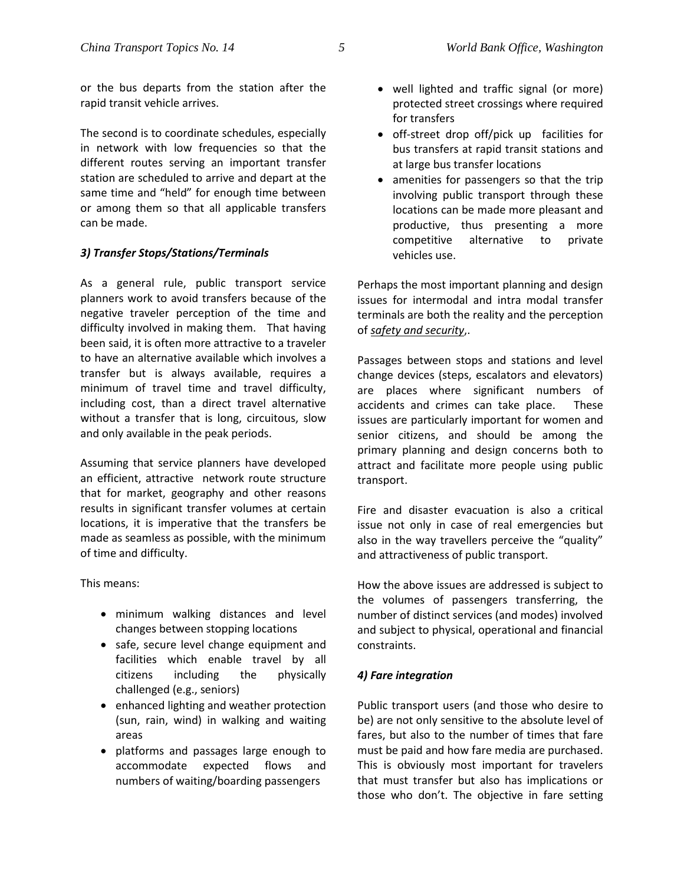The second is to coordinate schedules, especially in network with low frequencies so that the different routes serving an important transfer station are scheduled to arrive and depart at the same time and "held" for enough time between or among them so that all applicable transfers can be made.

# *3) Transfer Stops/Stations/Terminals*

As a general rule, public transport service planners work to avoid transfers because of the negative traveler perception of the time and difficulty involved in making them. That having been said, it is often more attractive to a traveler to have an alternative available which involves a transfer but is always available, requires a minimum of travel time and travel difficulty, including cost, than a direct travel alternative without a transfer that is long, circuitous, slow and only available in the peak periods.

Assuming that service planners have developed an efficient, attractive network route structure that for market, geography and other reasons results in significant transfer volumes at certain locations, it is imperative that the transfers be made as seamless as possible, with the minimum of time and difficulty.

This means:

- minimum walking distances and level changes between stopping locations
- safe, secure level change equipment and facilities which enable travel by all citizens including the physically challenged (e.g., seniors)
- enhanced lighting and weather protection (sun, rain, wind) in walking and waiting areas
- platforms and passages large enough to accommodate expected flows and numbers of waiting/boarding passengers
- well lighted and traffic signal (or more) protected street crossings where required for transfers
- off-street drop off/pick up facilities for bus transfers at rapid transit stations and at large bus transfer locations
- amenities for passengers so that the trip involving public transport through these locations can be made more pleasant and productive, thus presenting a more competitive alternative to private vehicles use.

Perhaps the most important planning and design issues for intermodal and intra modal transfer terminals are both the reality and the perception of *safety and security*,.

Passages between stops and stations and level change devices (steps, escalators and elevators) are places where significant numbers of accidents and crimes can take place. These issues are particularly important for women and senior citizens, and should be among the primary planning and design concerns both to attract and facilitate more people using public transport.

Fire and disaster evacuation is also a critical issue not only in case of real emergencies but also in the way travellers perceive the "quality" and attractiveness of public transport.

How the above issues are addressed is subject to the volumes of passengers transferring, the number of distinct services (and modes) involved and subject to physical, operational and financial constraints.

## *4) Fare integration*

Public transport users (and those who desire to be) are not only sensitive to the absolute level of fares, but also to the number of times that fare must be paid and how fare media are purchased. This is obviously most important for travelers that must transfer but also has implications or those who don't. The objective in fare setting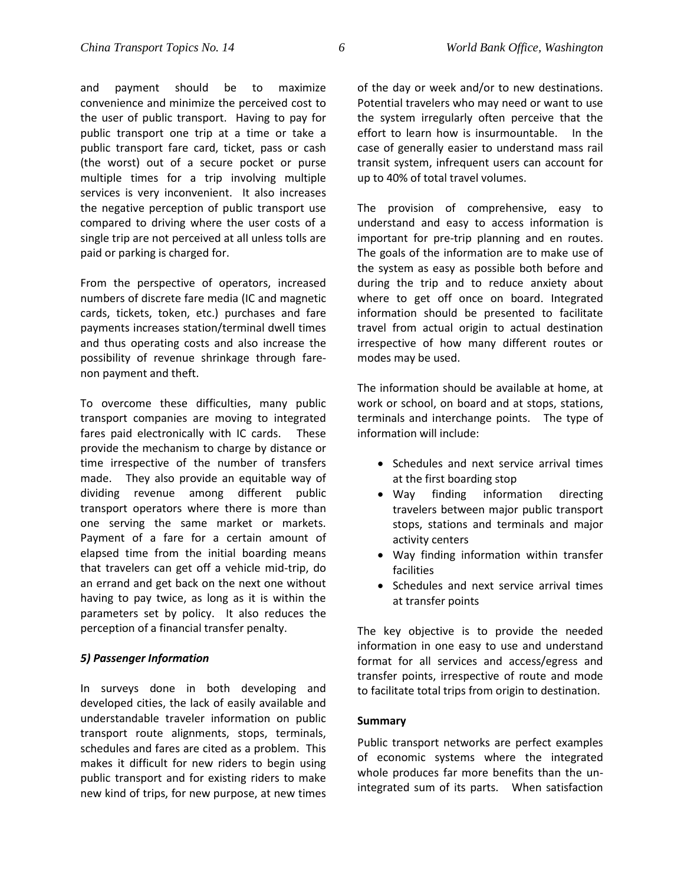paid or parking is charged for.

and payment should be to maximize convenience and minimize the perceived cost to the user of public transport. Having to pay for public transport one trip at a time or take a public transport fare card, ticket, pass or cash (the worst) out of a secure pocket or purse multiple times for a trip involving multiple services is very inconvenient. It also increases the negative perception of public transport use compared to driving where the user costs of a

From the perspective of operators, increased numbers of discrete fare media (IC and magnetic cards, tickets, token, etc.) purchases and fare payments increases station/terminal dwell times and thus operating costs and also increase the possibility of revenue shrinkage through farenon payment and theft.

single trip are not perceived at all unless tolls are

To overcome these difficulties, many public transport companies are moving to integrated fares paid electronically with IC cards. These provide the mechanism to charge by distance or time irrespective of the number of transfers made. They also provide an equitable way of dividing revenue among different public transport operators where there is more than one serving the same market or markets. Payment of a fare for a certain amount of elapsed time from the initial boarding means that travelers can get off a vehicle mid-trip, do an errand and get back on the next one without having to pay twice, as long as it is within the parameters set by policy. It also reduces the perception of a financial transfer penalty.

## *5) Passenger Information*

In surveys done in both developing and developed cities, the lack of easily available and understandable traveler information on public transport route alignments, stops, terminals, schedules and fares are cited as a problem. This makes it difficult for new riders to begin using public transport and for existing riders to make new kind of trips, for new purpose, at new times

of the day or week and/or to new destinations. Potential travelers who may need or want to use the system irregularly often perceive that the effort to learn how is insurmountable. In the case of generally easier to understand mass rail transit system, infrequent users can account for up to 40% of total travel volumes.

The provision of comprehensive, easy to understand and easy to access information is important for pre-trip planning and en routes. The goals of the information are to make use of the system as easy as possible both before and during the trip and to reduce anxiety about where to get off once on board. Integrated information should be presented to facilitate travel from actual origin to actual destination irrespective of how many different routes or modes may be used.

The information should be available at home, at work or school, on board and at stops, stations, terminals and interchange points. The type of information will include:

- Schedules and next service arrival times at the first boarding stop
- Way finding information directing travelers between major public transport stops, stations and terminals and major activity centers
- Way finding information within transfer facilities
- Schedules and next service arrival times at transfer points

The key objective is to provide the needed information in one easy to use and understand format for all services and access/egress and transfer points, irrespective of route and mode to facilitate total trips from origin to destination.

## **Summary**

Public transport networks are perfect examples of economic systems where the integrated whole produces far more benefits than the unintegrated sum of its parts. When satisfaction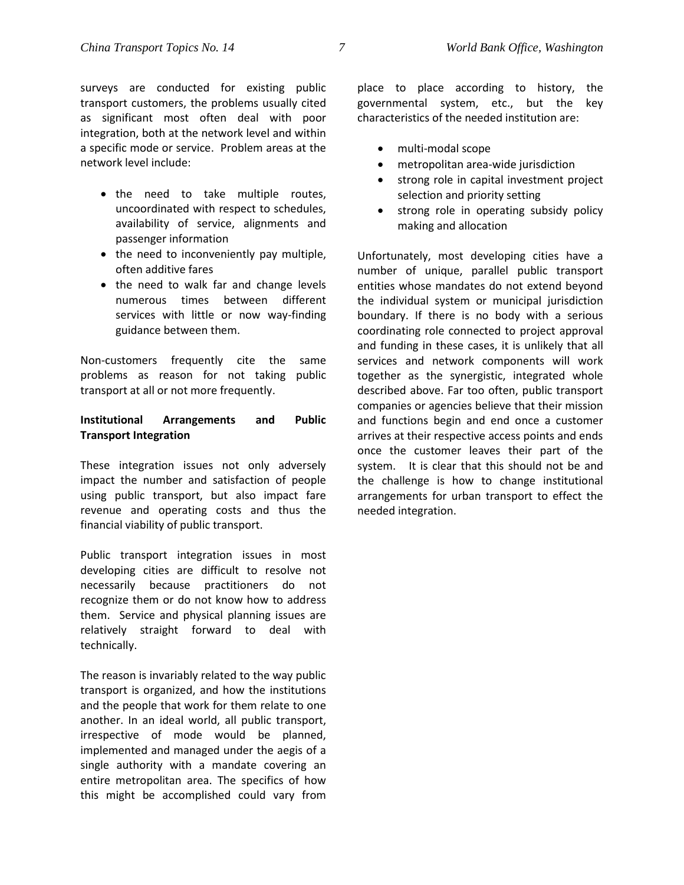surveys are conducted for existing public transport customers, the problems usually cited as significant most often deal with poor integration, both at the network level and within a specific mode or service. Problem areas at the network level include:

- the need to take multiple routes, uncoordinated with respect to schedules, availability of service, alignments and passenger information
- the need to inconveniently pay multiple, often additive fares
- the need to walk far and change levels numerous times between different services with little or now way-finding guidance between them.

Non-customers frequently cite the same problems as reason for not taking public transport at all or not more frequently.

## **Institutional Arrangements and Public Transport Integration**

These integration issues not only adversely impact the number and satisfaction of people using public transport, but also impact fare revenue and operating costs and thus the financial viability of public transport.

Public transport integration issues in most developing cities are difficult to resolve not necessarily because practitioners do not recognize them or do not know how to address them. Service and physical planning issues are relatively straight forward to deal with technically.

The reason is invariably related to the way public transport is organized, and how the institutions and the people that work for them relate to one another. In an ideal world, all public transport, irrespective of mode would be planned, implemented and managed under the aegis of a single authority with a mandate covering an entire metropolitan area. The specifics of how this might be accomplished could vary from

place to place according to history, the governmental system, etc., but the key characteristics of the needed institution are:

- multi-modal scope
- metropolitan area-wide jurisdiction
- strong role in capital investment project selection and priority setting
- strong role in operating subsidy policy making and allocation

Unfortunately, most developing cities have a number of unique, parallel public transport entities whose mandates do not extend beyond the individual system or municipal jurisdiction boundary. If there is no body with a serious coordinating role connected to project approval and funding in these cases, it is unlikely that all services and network components will work together as the synergistic, integrated whole described above. Far too often, public transport companies or agencies believe that their mission and functions begin and end once a customer arrives at their respective access points and ends once the customer leaves their part of the system. It is clear that this should not be and the challenge is how to change institutional arrangements for urban transport to effect the needed integration.